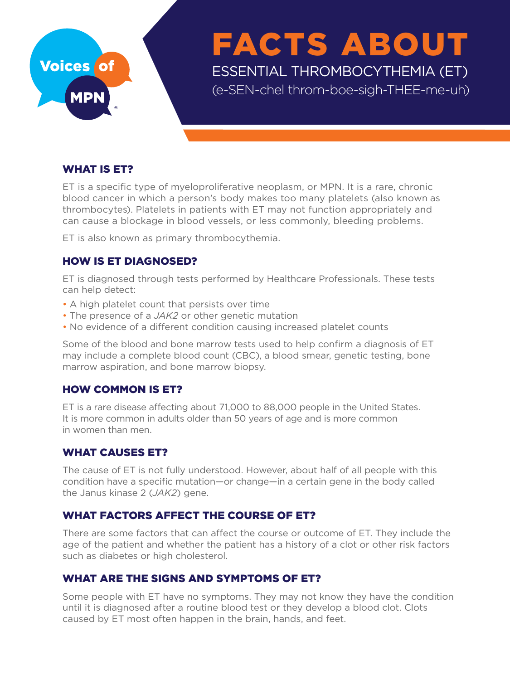# WHAT IS ET?

ET is a specific type of myeloproliferative neoplasm, or MPN. It is a rare, chronic blood cancer in which a person's body makes too many platelets (also known as thrombocytes). Platelets in patients with ET may not function appropriately and can cause a blockage in blood vessels, or less commonly, bleeding problems.

ET is also known as primary thrombocythemia.

## HOW IS ET DIAGNOSED?

ET is diagnosed through tests performed by Healthcare Professionals. These tests can help detect:

- A high platelet count that persists over time
- The presence of a *JAK2* or other genetic mutation
- No evidence of a different condition causing increased platelet counts

Some of the blood and bone marrow tests used to help confirm a diagnosis of ET may include a complete blood count (CBC), a blood smear, genetic testing, bone marrow aspiration, and bone marrow biopsy.

## HOW COMMON IS ET?

ET is a rare disease affecting about 71,000 to 88,000 people in the United States. It is more common in adults older than 50 years of age and is more common in women than men.

### WHAT CAUSES ET?

The cause of ET is not fully understood. However, about half of all people with this condition have a specific mutation—or change—in a certain gene in the body called the Janus kinase 2 (*JAK2*) gene.

### WHAT FACTORS AFFECT THE COURSE OF ET?

There are some factors that can affect the course or outcome of ET. They include the age of the patient and whether the patient has a history of a clot or other risk factors such as diabetes or high cholesterol.

## WHAT ARE THE SIGNS AND SYMPTOMS OF ET?

Some people with ET have no symptoms. They may not know they have the condition until it is diagnosed after a routine blood test or they develop a blood clot. Clots caused by ET most often happen in the brain, hands, and feet.



# FACTS ABOUT ESSENTIAL THROMBOCYTHEMIA (ET) (e-SEN-chel throm-boe-sigh-THEE-me-uh)